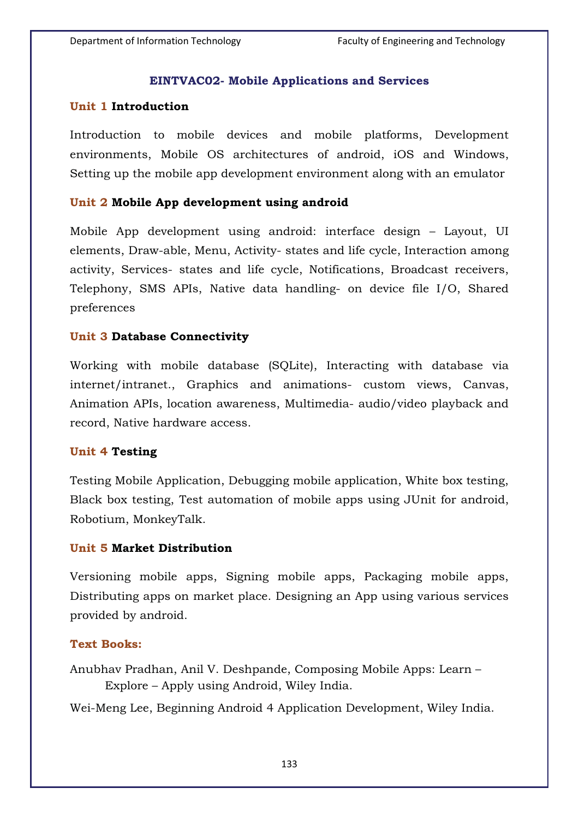# **EINTVAC02- Mobile Applications and Services**

### **Unit 1 Introduction**

Introduction to mobile devices and mobile platforms, Development environments, Mobile OS architectures of android, iOS and Windows, Setting up the mobile app development environment along with an emulator

## **Unit 2 Mobile App development using android**

Mobile App development using android: interface design – Layout, UI elements, Draw-able, Menu, Activity- states and life cycle, Interaction among activity, Services- states and life cycle, Notifications, Broadcast receivers, Telephony, SMS APIs, Native data handling- on device file I/O, Shared preferences

#### **Unit 3 Database Connectivity**

Working with mobile database (SQLite), Interacting with database via internet/intranet., Graphics and animations- custom views, Canvas, Animation APIs, location awareness, Multimedia- audio/video playback and record, Native hardware access.

#### **Unit 4 Testing**

Testing Mobile Application, Debugging mobile application, White box testing, Black box testing, Test automation of mobile apps using JUnit for android, Robotium, MonkeyTalk.

#### **Unit 5 Market Distribution**

Versioning mobile apps, Signing mobile apps, Packaging mobile apps, Distributing apps on market place. Designing an App using various services provided by android.

# **Text Books:**

Anubhav Pradhan, Anil V. Deshpande, Composing Mobile Apps: Learn – Explore – Apply using Android, Wiley India.

Wei-Meng Lee, Beginning Android 4 Application Development, Wiley India.